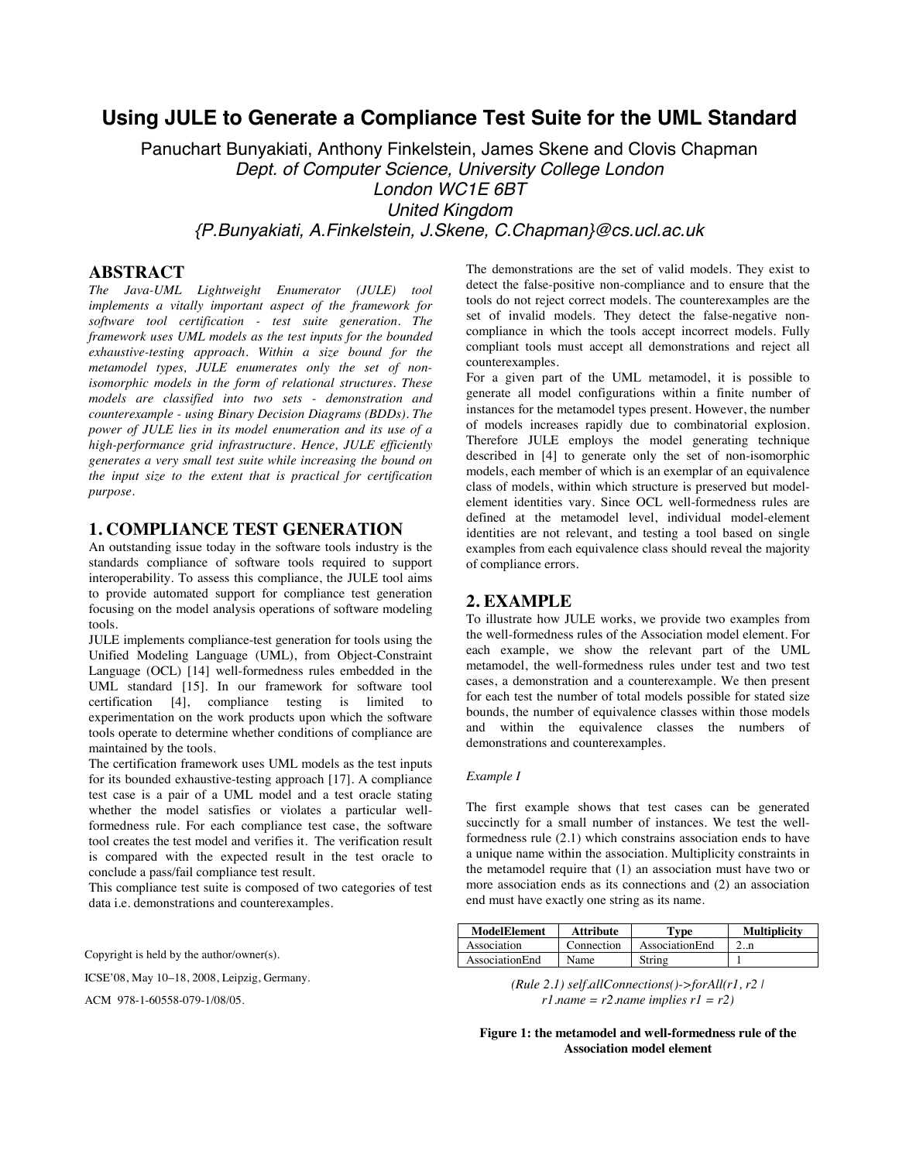# **Using JULE to Generate a Compliance Test Suite for the UML Standard**

Panuchart Bunyakiati, Anthony Finkelstein, James Skene and Clovis Chapman *Dept. of Computer Science, University College London London WC1E 6BT United Kingdom {P.Bunyakiati, A.Finkelstein, J.Skene, C.Chapman}@cs.ucl.ac.uk*

# **ABSTRACT**

*The Java-UML Lightweight Enumerator (JULE) tool implements a vitally important aspect of the framework for software tool certification - test suite generation. The framework uses UML models as the test inputs for the bounded exhaustive-testing approach. Within a size bound for the metamodel types, JULE enumerates only the set of nonisomorphic models in the form of relational structures. These models are classified into two sets - demonstration and counterexample - using Binary Decision Diagrams (BDDs). The power of JULE lies in its model enumeration and its use of a high-performance grid infrastructure. Hence, JULE efficiently generates a very small test suite while increasing the bound on the input size to the extent that is practical for certification purpose.*

# **1. COMPLIANCE TEST GENERATION**

An outstanding issue today in the software tools industry is the standards compliance of software tools required to support interoperability. To assess this compliance, the JULE tool aims to provide automated support for compliance test generation focusing on the model analysis operations of software modeling tools.

JULE implements compliance-test generation for tools using the Unified Modeling Language (UML), from Object-Constraint Language (OCL) [14] well-formedness rules embedded in the UML standard [15]. In our framework for software tool certification [4], compliance testing is limited to experimentation on the work products upon which the software tools operate to determine whether conditions of compliance are maintained by the tools.

The certification framework uses UML models as the test inputs for its bounded exhaustive-testing approach [17]. A compliance test case is a pair of a UML model and a test oracle stating whether the model satisfies or violates a particular wellformedness rule. For each compliance test case, the software tool creates the test model and verifies it. The verification result is compared with the expected result in the test oracle to conclude a pass/fail compliance test result.

This compliance test suite is composed of two categories of test data i.e. demonstrations and counterexamples.

Copyright is held by the author/owner(s).

ICSE'08, May 10–18, 2008, Leipzig, Germany.

ACM 978-1-60558-079-1/08/05.

The demonstrations are the set of valid models. They exist to detect the false-positive non-compliance and to ensure that the tools do not reject correct models. The counterexamples are the set of invalid models. They detect the false-negative noncompliance in which the tools accept incorrect models. Fully compliant tools must accept all demonstrations and reject all counterexamples.

For a given part of the UML metamodel, it is possible to generate all model configurations within a finite number of instances for the metamodel types present. However, the number of models increases rapidly due to combinatorial explosion. Therefore JULE employs the model generating technique described in [4] to generate only the set of non-isomorphic models, each member of which is an exemplar of an equivalence class of models, within which structure is preserved but modelelement identities vary. Since OCL well-formedness rules are defined at the metamodel level, individual model-element identities are not relevant, and testing a tool based on single examples from each equivalence class should reveal the majority of compliance errors.

# **2. EXAMPLE**

To illustrate how JULE works, we provide two examples from the well-formedness rules of the Association model element. For each example, we show the relevant part of the UML metamodel, the well-formedness rules under test and two test cases, a demonstration and a counterexample. We then present for each test the number of total models possible for stated size bounds, the number of equivalence classes within those models and within the equivalence classes the numbers of demonstrations and counterexamples.

#### *Example I*

The first example shows that test cases can be generated succinctly for a small number of instances. We test the wellformedness rule (2.1) which constrains association ends to have a unique name within the association. Multiplicity constraints in the metamodel require that (1) an association must have two or more association ends as its connections and (2) an association end must have exactly one string as its name.

| <b>ModelElement</b> | <b>Attribute</b> | 'Uype          | <b>Multiplicity</b> |
|---------------------|------------------|----------------|---------------------|
| Association         | Connection       | AssociationEnd |                     |
| AssociationEnd      | Name             | String         |                     |

*(Rule 2.1) self.allConnections()->forAll(r1, r2 | r1.name = r2.name implies r1 = r2)*

**Figure 1: the metamodel and well-formedness rule of the Association model element**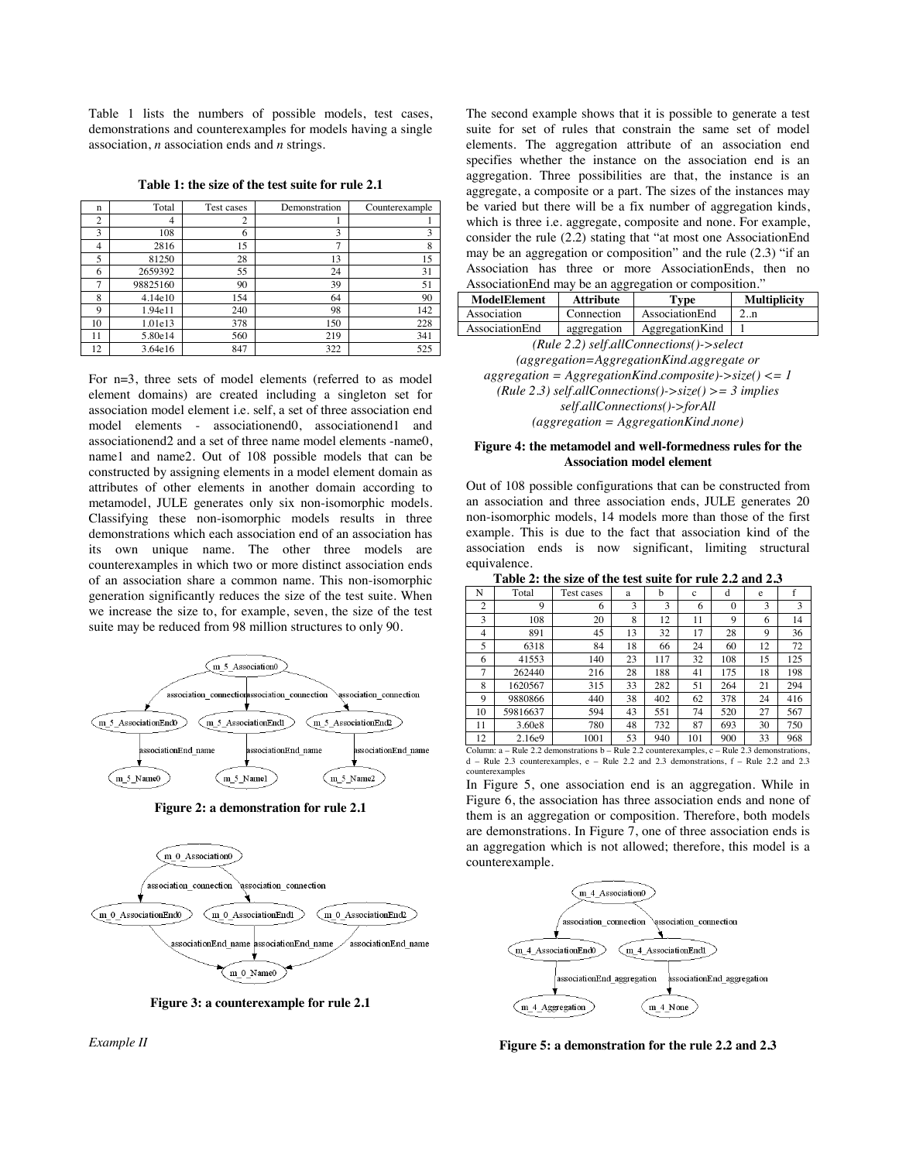Table 1 lists the numbers of possible models, test cases, demonstrations and counterexamples for models having a single association, *n* association ends and *n* strings.

| n  | Total    | Test cases | Demonstration | Counterexample |
|----|----------|------------|---------------|----------------|
| 2  | 4        | 2          |               |                |
| 3  | 108      | 6          | 3             | 3              |
| 4  | 2816     | 15         | 7             | 8              |
| 5  | 81250    | 28         | 13            | 15             |
| 6  | 2659392  | 55         | 24            | 31             |
| 7  | 98825160 | 90         | 39            | 51             |
| 8  | 4.14e10  | 154        | 64            | 90             |
| 9  | 1.94e11  | 240        | 98            | 142            |
| 10 | 1.01e13  | 378        | 150           | 228            |
| 11 | 5.80e14  | 560        | 219           | 341            |
| 12 | 3.64e16  | 847        | 322           | 525            |

**Table 1: the size of the test suite for rule 2.1**

For n=3, three sets of model elements (referred to as model element domains) are created including a singleton set for association model element i.e. self, a set of three association end model elements - associationend0, associationend1 and associationend2 and a set of three name model elements -name0, name1 and name2. Out of 108 possible models that can be constructed by assigning elements in a model element domain as attributes of other elements in another domain according to metamodel, JULE generates only six non-isomorphic models. Classifying these non-isomorphic models results in three demonstrations which each association end of an association has its own unique name. The other three models are counterexamples in which two or more distinct association ends of an association share a common name. This non-isomorphic generation significantly reduces the size of the test suite. When we increase the size to, for example, seven, the size of the test suite may be reduced from 98 million structures to only 90.



**Figure 2: a demonstration for rule 2.1**



**Figure 3: a counterexample for rule 2.1**

*Example II*

The second example shows that it is possible to generate a test suite for set of rules that constrain the same set of model elements. The aggregation attribute of an association end specifies whether the instance on the association end is an aggregation. Three possibilities are that, the instance is an aggregate, a composite or a part. The sizes of the instances may be varied but there will be a fix number of aggregation kinds, which is three i.e. aggregate, composite and none. For example, consider the rule (2.2) stating that "at most one AssociationEnd may be an aggregation or composition" and the rule (2.3) "if an Association has three or more AssociationEnds, then no AssociationEnd may be an aggregation or composition."

| <b>ModelElement</b> | <b>Attribute</b> | 'Uvpe           | <b>Multiplicity</b> |
|---------------------|------------------|-----------------|---------------------|
| Association         | Connection       | AssociationEnd  | 2.n                 |
| AssociationEnd      | aggregation      | AggregationKind |                     |

*(Rule 2.2) self.allConnections()->select (aggregation=AggregationKind.aggregate or*  $aggregation = Aggregation$ *Kind.composite* $)$ ->size()  $\leq$  1 *(Rule 2.3) self.allConnections()->size() >= 3 implies self.allConnections()->forAll (aggregation = AggregationKind.none)*

#### **Figure 4: the metamodel and well-formedness rules for the Association model element**

Out of 108 possible configurations that can be constructed from an association and three association ends, JULE generates 20 non-isomorphic models, 14 models more than those of the first example. This is due to the fact that association kind of the association ends is now significant, limiting structural equivalence.

**Table 2: the size of the test suite for rule 2.2 and 2.3**

| N                                                                                                    | Total    | Test cases | a  | b   | c   | d        | e  |     |
|------------------------------------------------------------------------------------------------------|----------|------------|----|-----|-----|----------|----|-----|
| 2                                                                                                    | 9        | 6          | 3  | 3   | 6   | $\Omega$ | 3  | 3   |
| 3                                                                                                    | 108      | 20         | 8  | 12  | 11  | 9        | 6  | 14  |
| 4                                                                                                    | 891      | 45         | 13 | 32  | 17  | 28       | 9  | 36  |
| 5                                                                                                    | 6318     | 84         | 18 | 66  | 24  | 60       | 12 | 72  |
| 6                                                                                                    | 41553    | 140        | 23 | 117 | 32  | 108      | 15 | 125 |
| 7                                                                                                    | 262440   | 216        | 28 | 188 | 41  | 175      | 18 | 198 |
| 8                                                                                                    | 1620567  | 315        | 33 | 282 | 51  | 264      | 21 | 294 |
| 9                                                                                                    | 9880866  | 440        | 38 | 402 | 62  | 378      | 24 | 416 |
| 10                                                                                                   | 59816637 | 594        | 43 | 551 | 74  | 520      | 27 | 567 |
| 11                                                                                                   | 3.60e8   | 780        | 48 | 732 | 87  | 693      | 30 | 750 |
| 12                                                                                                   | 2.16e9   | 1001       | 53 | 940 | 101 | 900      | 33 | 968 |
| Column: $a - Rule$ 2.2 demonstrations $b - Rule$ 2.2 counterexamples, $c - Rule$ 2.3 demonstrations. |          |            |    |     |     |          |    |     |

Column: a – Rule 2.2 demonstrations b – Rule 2.2 counterexamples, c – Rule 2.3 demonstrations, d – Rule 2.3 counterexamples, e – Rule 2.2 and 2.3 demonstrations, f – Rule 2.2 and 2.3 counterexamples

In Figure 5, one association end is an aggregation. While in Figure 6, the association has three association ends and none of them is an aggregation or composition. Therefore, both models are demonstrations. In Figure 7, one of three association ends is an aggregation which is not allowed; therefore, this model is a counterexample.



**Figure 5: a demonstration for the rule 2.2 and 2.3**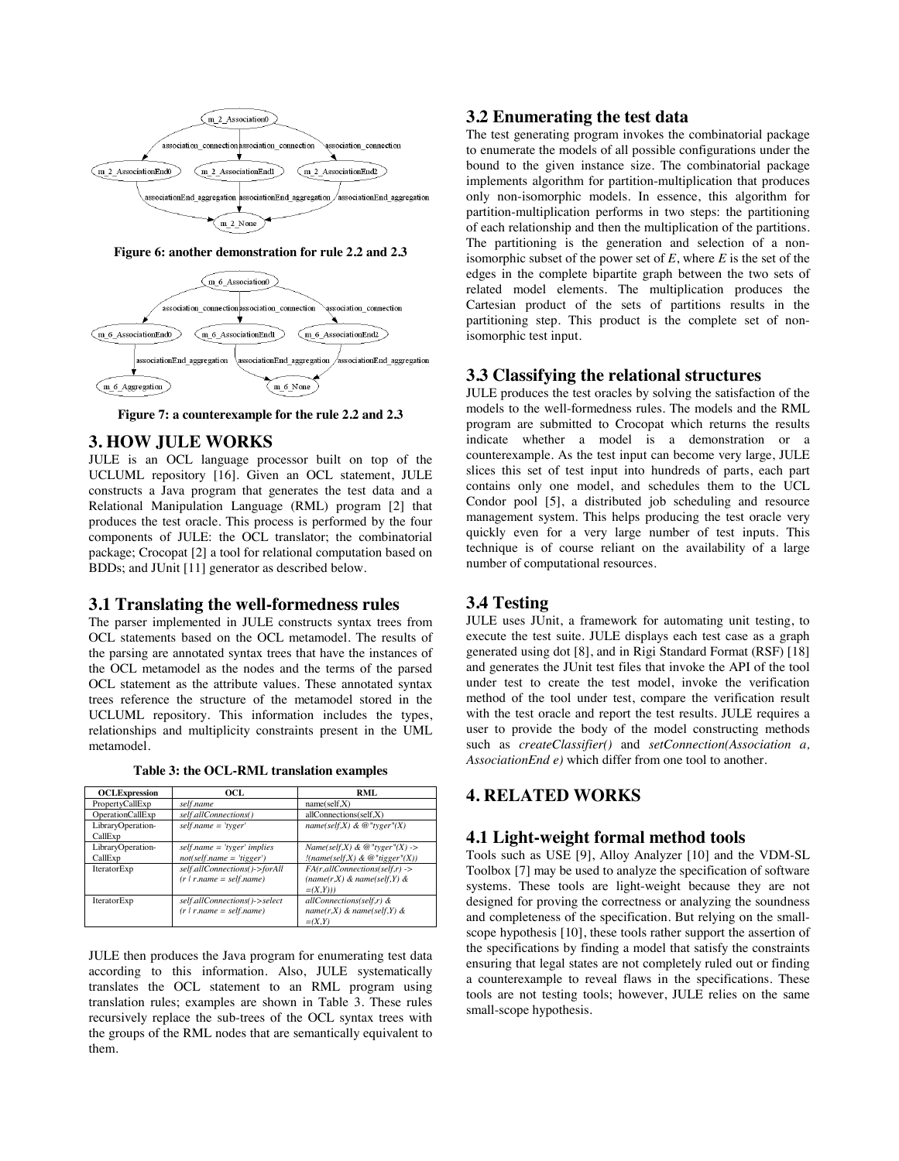

**Figure 6: another demonstration for rule 2.2 and 2.3**



**Figure 7: a counterexample for the rule 2.2 and 2.3**

# **3. HOW JULE WORKS**

JULE is an OCL language processor built on top of the UCLUML repository [16]. Given an OCL statement, JULE constructs a Java program that generates the test data and a Relational Manipulation Language (RML) program [2] that produces the test oracle. This process is performed by the four components of JULE: the OCL translator; the combinatorial package; Crocopat [2] a tool for relational computation based on BDDs; and JUnit [11] generator as described below.

#### **3.1 Translating the well-formedness rules**

The parser implemented in JULE constructs syntax trees from OCL statements based on the OCL metamodel. The results of the parsing are annotated syntax trees that have the instances of the OCL metamodel as the nodes and the terms of the parsed OCL statement as the attribute values. These annotated syntax trees reference the structure of the metamodel stored in the UCLUML repository. This information includes the types, relationships and multiplicity constraints present in the UML metamodel.

**Table 3: the OCL-RML translation examples**

| <b>OCLExpression</b>         | OCL                                                          | RML                                                                                  |
|------------------------------|--------------------------------------------------------------|--------------------------------------------------------------------------------------|
| PropertyCallExp              | self.name                                                    | name(self.X)                                                                         |
| OperationCallExp             | self.allConnections()                                        | allConnections(self,X)                                                               |
| LibraryOperation-<br>CallExp | $self.name = 't \vee ger'$                                   | name(self,X) & @"tyger"(X)                                                           |
| LibraryOperation-<br>CallExp | $self.name = 'tyger' implies$<br>$not(self.name = 'tigger')$ | $Name(self, X) \& @ "tvger"(X) ->$<br>$!(name(self,X) \& @ "tigger"(X))$             |
| IteratorExp                  | self.allConnections()->forAll<br>$(r   r.name = self.name)$  | $FA(r, all connections(self,r)$ -><br>$(name(r, X) \& name(self, Y) \&$<br>$=(X,Y))$ |
| IteratorExp                  | self.allConnections()->select<br>$(r   r.name = self.name)$  | $allConnections(self,r)$ &<br>name(r,X) & name(self,Y) &<br>$=(X,Y)$                 |

JULE then produces the Java program for enumerating test data according to this information. Also, JULE systematically translates the OCL statement to an RML program using translation rules; examples are shown in Table 3. These rules recursively replace the sub-trees of the OCL syntax trees with the groups of the RML nodes that are semantically equivalent to them.

## **3.2 Enumerating the test data**

The test generating program invokes the combinatorial package to enumerate the models of all possible configurations under the bound to the given instance size. The combinatorial package implements algorithm for partition-multiplication that produces only non-isomorphic models. In essence, this algorithm for partition-multiplication performs in two steps: the partitioning of each relationship and then the multiplication of the partitions. The partitioning is the generation and selection of a nonisomorphic subset of the power set of *E*, where *E* is the set of the edges in the complete bipartite graph between the two sets of related model elements. The multiplication produces the Cartesian product of the sets of partitions results in the partitioning step. This product is the complete set of nonisomorphic test input.

### **3.3 Classifying the relational structures**

JULE produces the test oracles by solving the satisfaction of the models to the well-formedness rules. The models and the RML program are submitted to Crocopat which returns the results indicate whether a model is a demonstration or a counterexample. As the test input can become very large, JULE slices this set of test input into hundreds of parts, each part contains only one model, and schedules them to the UCL Condor pool [5], a distributed job scheduling and resource management system. This helps producing the test oracle very quickly even for a very large number of test inputs. This technique is of course reliant on the availability of a large number of computational resources.

#### **3.4 Testing**

JULE uses JUnit, a framework for automating unit testing, to execute the test suite. JULE displays each test case as a graph generated using dot [8], and in Rigi Standard Format (RSF) [18] and generates the JUnit test files that invoke the API of the tool under test to create the test model, invoke the verification method of the tool under test, compare the verification result with the test oracle and report the test results. JULE requires a user to provide the body of the model constructing methods such as *createClassifier()* and *setConnection(Association a, AssociationEnd e)* which differ from one tool to another.

# **4. RELATED WORKS**

#### **4.1 Light-weight formal method tools**

Tools such as USE [9], Alloy Analyzer [10] and the VDM-SL Toolbox [7] may be used to analyze the specification of software systems. These tools are light-weight because they are not designed for proving the correctness or analyzing the soundness and completeness of the specification. But relying on the smallscope hypothesis [10], these tools rather support the assertion of the specifications by finding a model that satisfy the constraints ensuring that legal states are not completely ruled out or finding a counterexample to reveal flaws in the specifications. These tools are not testing tools; however, JULE relies on the same small-scope hypothesis.